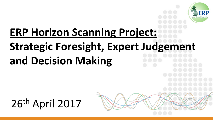

# **ERP Horizon Scanning Project: Strategic Foresight, Expert Judgement and Decision Making**

26th April 2017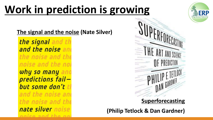### **Work in prediction is growing**

**The signal and the noise (Nate Silver)**

the signal and th and the noise and the noise and the noise and the noi why so many and predictions failbut some don't the and the noise and the noise and the nate silver noise and the ne



#### **Superforecasting**

**(Philip Tetlock & Dan Gardner)**

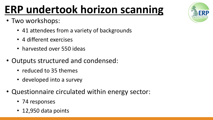## **ERP undertook horizon scanning**

- Two workshops:
	- 41 attendees from a variety of backgrounds
	- 4 different exercises
	- harvested over 550 ideas
- Outputs structured and condensed:
	- reduced to 35 themes
	- developed into a survey
- Questionnaire circulated within energy sector:
	- 74 responses
	- 12,950 data points

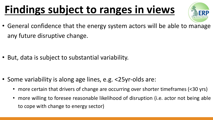### **Findings subject to ranges in views**



• General confidence that the energy system actors will be able to manage any future disruptive change.

• But, data is subject to substantial variability.

- Some variability is along age lines, e.g. <25yr-olds are:
	- more certain that drivers of change are occurring over shorter timeframes (<30 yrs)
	- more willing to foresee reasonable likelihood of disruption (i.e. actor not being able to cope with change to energy sector)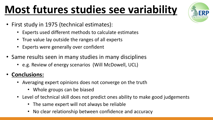### **Most futures studies see variability**

- First study in 1975 (technical estimates):
	- Experts used different methods to calculate estimates
	- True value lay outside the ranges of all experts
	- Experts were generally over confident
- Same results seen in many studies in many disciplines
	- e.g. Review of energy scenarios (Will McDowell, UCL)

#### • **Conclusions:**

- Averaging expert opinions does not converge on the truth
	- Whole groups can be biased
- Level of technical skill does not predict ones ability to make good judgements
	- The same expert will not always be reliable
	- No clear relationship between confidence and accuracy

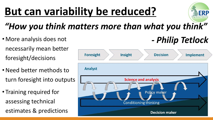## **But can variability be reduced?**



*- Philip Tetlock*

### *"How you think matters more than what you think"*

- More analysis does not necessarily mean better foresight/decisions
- Need better methods to turn foresight into outputs
- Training required for assessing technical estimates & predictions

#### **Foresight** Insight **Decision Implement Analyst Science and analysis Policy maker Conditioning thinking Decision maker**